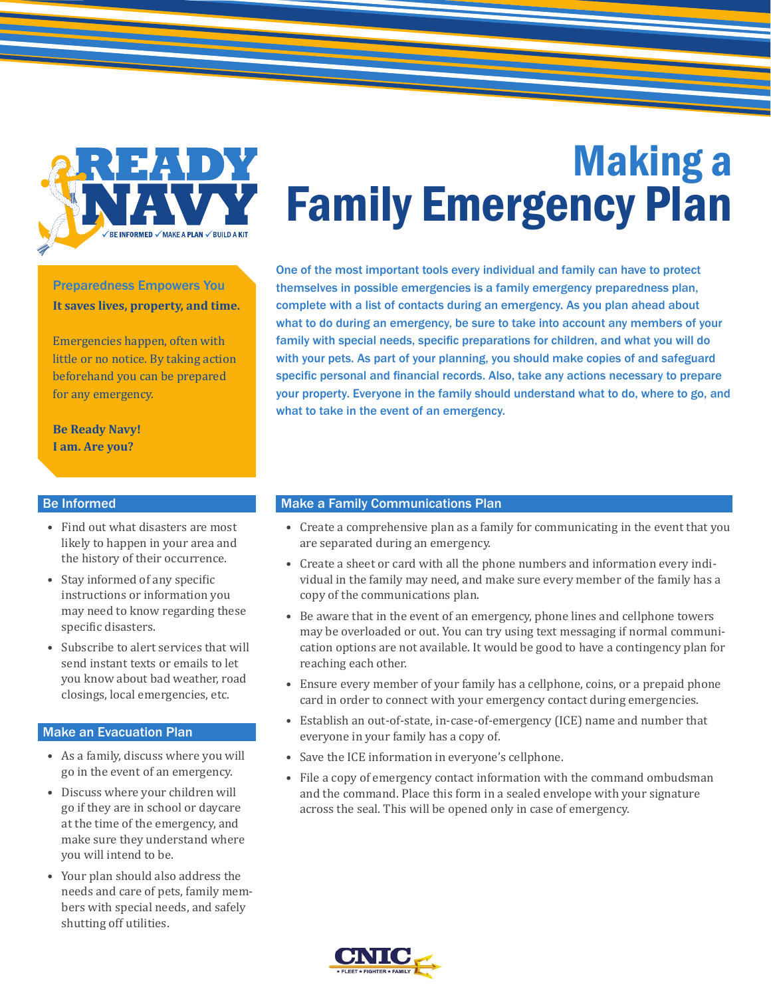

# Making a Family Emergency Plan

Preparedness Empowers You **It saves lives, property, and time.**

Emergencies happen, often with little or no notice. By taking action beforehand you can be prepared for any emergency.

**Be Ready Navy! I am. Are you?**

#### Be Informed

- Find out what disasters are most likely to happen in your area and the history of their occurrence.
- Stay informed of any specific instructions or information you may need to know regarding these specific disasters.
- Subscribe to alert services that will send instant texts or emails to let you know about bad weather, road closings, local emergencies, etc.

#### Make an Evacuation Plan

- As a family, discuss where you will go in the event of an emergency.
- Discuss where your children will go if they are in school or daycare at the time of the emergency, and make sure they understand where you will intend to be.
- Your plan should also address the needs and care of pets, family members with special needs, and safely shutting off utilities.

One of the most important tools every individual and family can have to protect themselves in possible emergencies is a family emergency preparedness plan, complete with a list of contacts during an emergency. As you plan ahead about what to do during an emergency, be sure to take into account any members of your family with special needs, specific preparations for children, and what you will do with your pets. As part of your planning, you should make copies of and safeguard specific personal and financial records. Also, take any actions necessary to prepare your property. Everyone in the family should understand what to do, where to go, and what to take in the event of an emergency.

#### Make a Family Communications Plan

- Create a comprehensive plan as a family for communicating in the event that you are separated during an emergency.
- Create a sheet or card with all the phone numbers and information every individual in the family may need, and make sure every member of the family has a copy of the communications plan.
- Be aware that in the event of an emergency, phone lines and cellphone towers may be overloaded or out. You can try using text messaging if normal communication options are not available. It would be good to have a contingency plan for reaching each other.
- Ensure every member of your family has a cellphone, coins, or a prepaid phone card in order to connect with your emergency contact during emergencies.
- Establish an out-of-state, in-case-of-emergency (ICE) name and number that everyone in your family has a copy of.
- Save the ICE information in everyone's cellphone.
- File a copy of emergency contact information with the command ombudsman and the command. Place this form in a sealed envelope with your signature across the seal. This will be opened only in case of emergency.